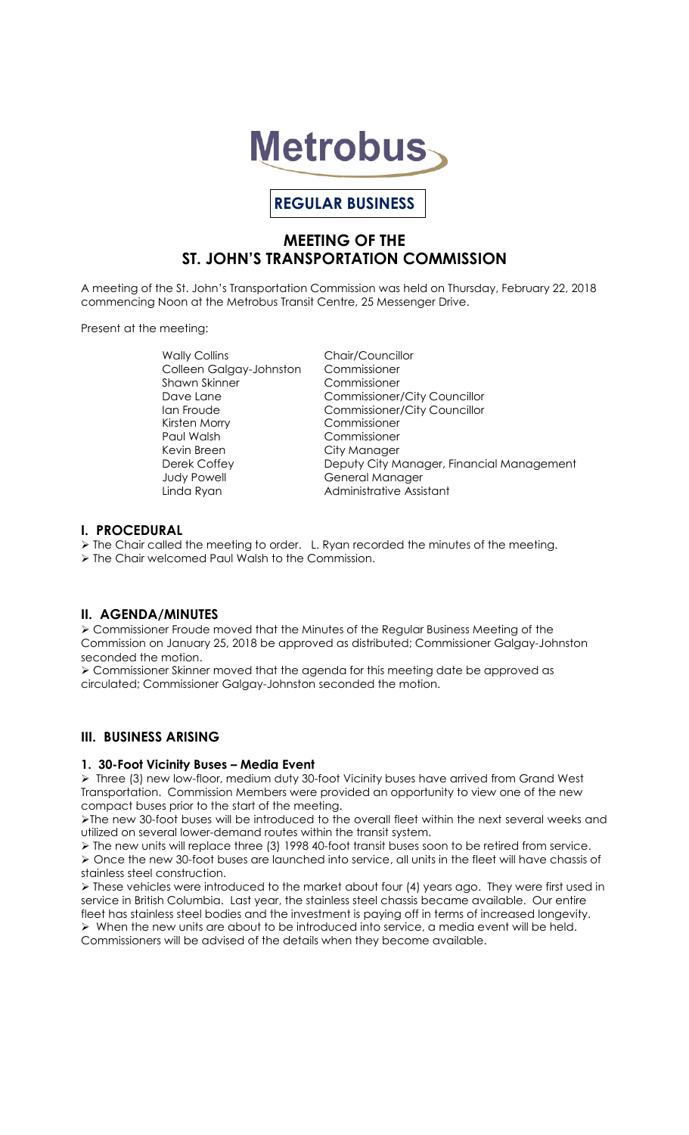

# **REGULAR BUSINESS**

# **MEETING OF THE ST. JOHN'S TRANSPORTATION COMMISSION**

A meeting of the St. John's Transportation Commission was held on Thursday, February 22, 2018 commencing Noon at the Metrobus Transit Centre, 25 Messenger Drive.

Present at the meeting:

Wally Collins **Chair/Councillor**<br>Colleen Galaav-Johnston Commissioner Colleen Galgay-Johnston Shawn Skinner Commissioner Kirsten Morry Commissioner Kevin Breen City Manager<br>
Derek Coffey City More Deputy City M Judy Powell General Manager

Dave Lane Commissioner/City Councillor Ian Froude Commissioner/City Councillor Commissioner Deputy City Manager, Financial Management Linda Ryan **Administrative Assistant** 

# **I. PROCEDURAL**

 $\triangleright$  The Chair called the meeting to order. L. Ryan recorded the minutes of the meeting.

> The Chair welcomed Paul Walsh to the Commission.

# **II. AGENDA/MINUTES**

 Commissioner Froude moved that the Minutes of the Regular Business Meeting of the Commission on January 25, 2018 be approved as distributed; Commissioner Galgay-Johnston seconded the motion.

 Commissioner Skinner moved that the agenda for this meeting date be approved as circulated; Commissioner Galgay-Johnston seconded the motion.

# **III. BUSINESS ARISING**

### **1. 30-Foot Vicinity Buses – Media Event**

 $\triangleright$  Three (3) new low-floor, medium duty 30-foot Vicinity buses have arrived from Grand West Transportation. Commission Members were provided an opportunity to view one of the new compact buses prior to the start of the meeting.

The new 30-foot buses will be introduced to the overall fleet within the next several weeks and utilized on several lower-demand routes within the transit system.

 The new units will replace three (3) 1998 40-foot transit buses soon to be retired from service. Once the new 30-foot buses are launched into service, all units in the fleet will have chassis of stainless steel construction.

 These vehicles were introduced to the market about four (4) years ago. They were first used in service in British Columbia. Last year, the stainless steel chassis became available. Our entire fleet has stainless steel bodies and the investment is paying off in terms of increased longevity.  $\triangleright$  When the new units are about to be introduced into service, a media event will be held. Commissioners will be advised of the details when they become available.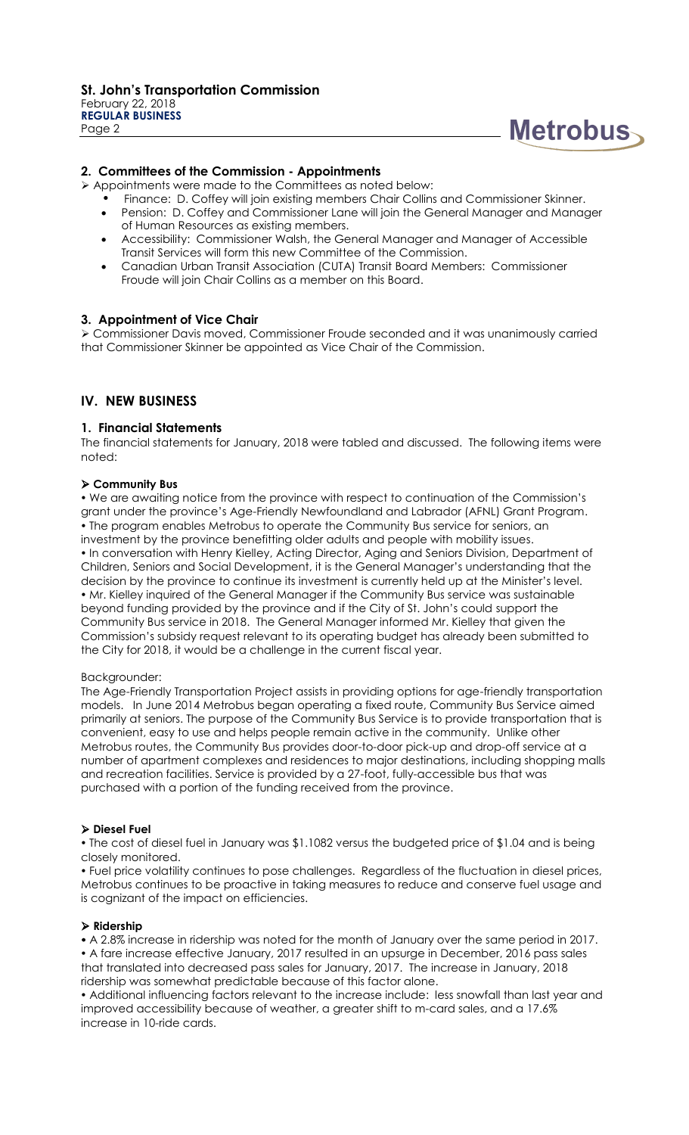

### **2. Committees of the Commission - Appointments**

Appointments were made to the Committees as noted below:

- Finance: D. Coffey will join existing members Chair Collins and Commissioner Skinner.
- Pension: D. Coffey and Commissioner Lane will join the General Manager and Manager of Human Resources as existing members.
- Accessibility: Commissioner Walsh, the General Manager and Manager of Accessible Transit Services will form this new Committee of the Commission.
- Canadian Urban Transit Association (CUTA) Transit Board Members: Commissioner Froude will join Chair Collins as a member on this Board.

### **3. Appointment of Vice Chair**

 Commissioner Davis moved, Commissioner Froude seconded and it was unanimously carried that Commissioner Skinner be appointed as Vice Chair of the Commission.

# **IV. NEW BUSINESS**

### **1. Financial Statements**

The financial statements for January, 2018 were tabled and discussed. The following items were noted:

#### **Community Bus**

 We are awaiting notice from the province with respect to continuation of the Commission's grant under the province's Age-Friendly Newfoundland and Labrador (AFNL) Grant Program. The program enables Metrobus to operate the Community Bus service for seniors, an investment by the province benefitting older adults and people with mobility issues. . In conversation with Henry Kielley, Acting Director, Aging and Seniors Division, Department of Children, Seniors and Social Development, it is the General Manager's understanding that the decision by the province to continue its investment is currently held up at the Minister's level. Mr. Kielley inquired of the General Manager if the Community Bus service was sustainable beyond funding provided by the province and if the City of St. John's could support the Community Bus service in 2018. The General Manager informed Mr. Kielley that given the Commission's subsidy request relevant to its operating budget has already been submitted to the City for 2018, it would be a challenge in the current fiscal year.

#### Backgrounder:

The Age-Friendly Transportation Project assists in providing options for age-friendly transportation models. In June 2014 Metrobus began operating a fixed route, Community Bus Service aimed primarily at seniors. The purpose of the Community Bus Service is to provide transportation that is convenient, easy to use and helps people remain active in the community. Unlike other Metrobus routes, the Community Bus provides door-to-door pick-up and drop-off service at a number of apartment complexes and residences to major destinations, including shopping malls and recreation facilities. Service is provided by a 27-foot, fully-accessible bus that was purchased with a portion of the funding received from the province.

#### **Diesel Fuel**

• The cost of diesel fuel in January was \$1.1082 versus the budgeted price of \$1.04 and is being closely monitored.

 Fuel price volatility continues to pose challenges. Regardless of the fluctuation in diesel prices, Metrobus continues to be proactive in taking measures to reduce and conserve fuel usage and is cognizant of the impact on efficiencies.

#### **Ridership**

 A 2.8% increase in ridership was noted for the month of January over the same period in 2017. A fare increase effective January, 2017 resulted in an upsurge in December, 2016 pass sales that translated into decreased pass sales for January, 2017. The increase in January, 2018 ridership was somewhat predictable because of this factor alone.

 Additional influencing factors relevant to the increase include: less snowfall than last year and improved accessibility because of weather, a greater shift to m-card sales, and a 17.6% increase in 10-ride cards.